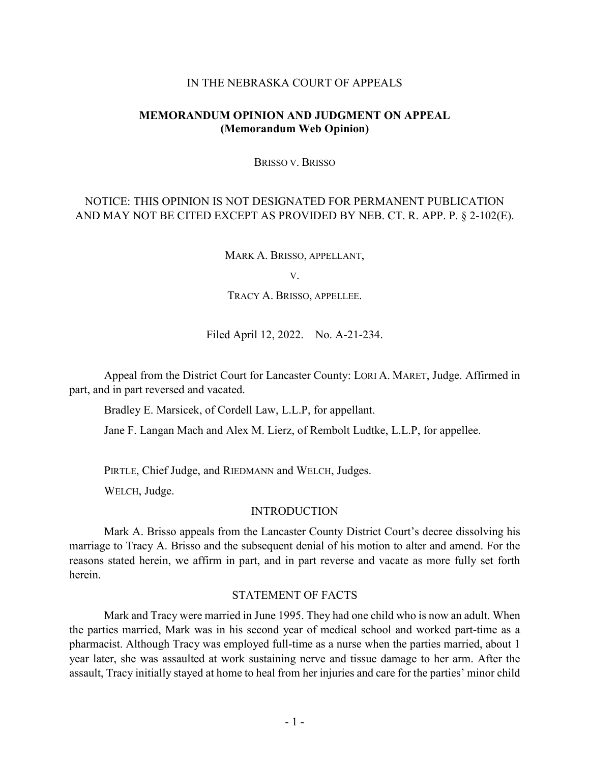#### IN THE NEBRASKA COURT OF APPEALS

# **MEMORANDUM OPINION AND JUDGMENT ON APPEAL (Memorandum Web Opinion)**

BRISSO V. BRISSO

# NOTICE: THIS OPINION IS NOT DESIGNATED FOR PERMANENT PUBLICATION AND MAY NOT BE CITED EXCEPT AS PROVIDED BY NEB. CT. R. APP. P. § 2-102(E).

MARK A. BRISSO, APPELLANT,

V.

TRACY A. BRISSO, APPELLEE.

Filed April 12, 2022. No. A-21-234.

Appeal from the District Court for Lancaster County: LORI A. MARET, Judge. Affirmed in part, and in part reversed and vacated.

Bradley E. Marsicek, of Cordell Law, L.L.P, for appellant.

Jane F. Langan Mach and Alex M. Lierz, of Rembolt Ludtke, L.L.P, for appellee.

PIRTLE, Chief Judge, and RIEDMANN and WELCH, Judges.

WELCH, Judge.

#### INTRODUCTION

Mark A. Brisso appeals from the Lancaster County District Court's decree dissolving his marriage to Tracy A. Brisso and the subsequent denial of his motion to alter and amend. For the reasons stated herein, we affirm in part, and in part reverse and vacate as more fully set forth herein.

# STATEMENT OF FACTS

Mark and Tracy were married in June 1995. They had one child who is now an adult. When the parties married, Mark was in his second year of medical school and worked part-time as a pharmacist. Although Tracy was employed full-time as a nurse when the parties married, about 1 year later, she was assaulted at work sustaining nerve and tissue damage to her arm. After the assault, Tracy initially stayed at home to heal from her injuries and care for the parties' minor child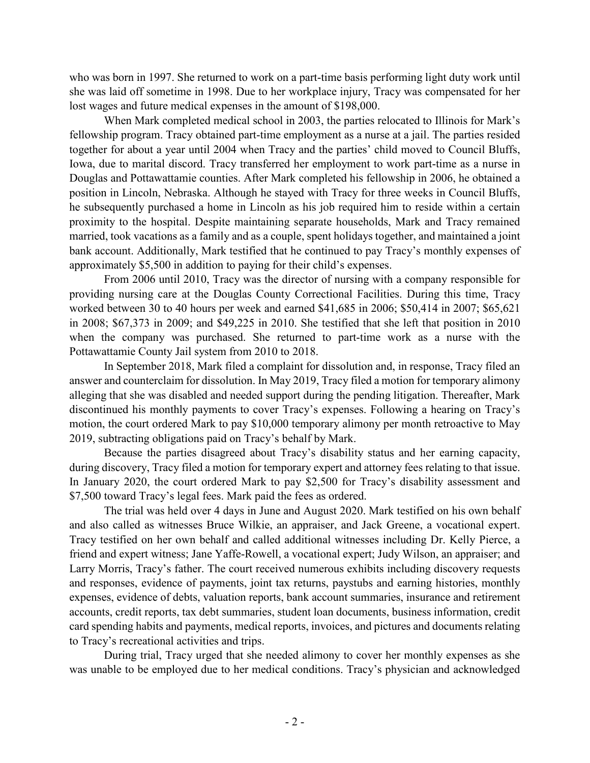who was born in 1997. She returned to work on a part-time basis performing light duty work until she was laid off sometime in 1998. Due to her workplace injury, Tracy was compensated for her lost wages and future medical expenses in the amount of \$198,000.

When Mark completed medical school in 2003, the parties relocated to Illinois for Mark's fellowship program. Tracy obtained part-time employment as a nurse at a jail. The parties resided together for about a year until 2004 when Tracy and the parties' child moved to Council Bluffs, Iowa, due to marital discord. Tracy transferred her employment to work part-time as a nurse in Douglas and Pottawattamie counties. After Mark completed his fellowship in 2006, he obtained a position in Lincoln, Nebraska. Although he stayed with Tracy for three weeks in Council Bluffs, he subsequently purchased a home in Lincoln as his job required him to reside within a certain proximity to the hospital. Despite maintaining separate households, Mark and Tracy remained married, took vacations as a family and as a couple, spent holidays together, and maintained a joint bank account. Additionally, Mark testified that he continued to pay Tracy's monthly expenses of approximately \$5,500 in addition to paying for their child's expenses.

From 2006 until 2010, Tracy was the director of nursing with a company responsible for providing nursing care at the Douglas County Correctional Facilities. During this time, Tracy worked between 30 to 40 hours per week and earned \$41,685 in 2006; \$50,414 in 2007; \$65,621 in 2008; \$67,373 in 2009; and \$49,225 in 2010. She testified that she left that position in 2010 when the company was purchased. She returned to part-time work as a nurse with the Pottawattamie County Jail system from 2010 to 2018.

In September 2018, Mark filed a complaint for dissolution and, in response, Tracy filed an answer and counterclaim for dissolution. In May 2019, Tracy filed a motion for temporary alimony alleging that she was disabled and needed support during the pending litigation. Thereafter, Mark discontinued his monthly payments to cover Tracy's expenses. Following a hearing on Tracy's motion, the court ordered Mark to pay \$10,000 temporary alimony per month retroactive to May 2019, subtracting obligations paid on Tracy's behalf by Mark.

Because the parties disagreed about Tracy's disability status and her earning capacity, during discovery, Tracy filed a motion for temporary expert and attorney fees relating to that issue. In January 2020, the court ordered Mark to pay \$2,500 for Tracy's disability assessment and \$7,500 toward Tracy's legal fees. Mark paid the fees as ordered.

The trial was held over 4 days in June and August 2020. Mark testified on his own behalf and also called as witnesses Bruce Wilkie, an appraiser, and Jack Greene, a vocational expert. Tracy testified on her own behalf and called additional witnesses including Dr. Kelly Pierce, a friend and expert witness; Jane Yaffe-Rowell, a vocational expert; Judy Wilson, an appraiser; and Larry Morris, Tracy's father. The court received numerous exhibits including discovery requests and responses, evidence of payments, joint tax returns, paystubs and earning histories, monthly expenses, evidence of debts, valuation reports, bank account summaries, insurance and retirement accounts, credit reports, tax debt summaries, student loan documents, business information, credit card spending habits and payments, medical reports, invoices, and pictures and documents relating to Tracy's recreational activities and trips.

During trial, Tracy urged that she needed alimony to cover her monthly expenses as she was unable to be employed due to her medical conditions. Tracy's physician and acknowledged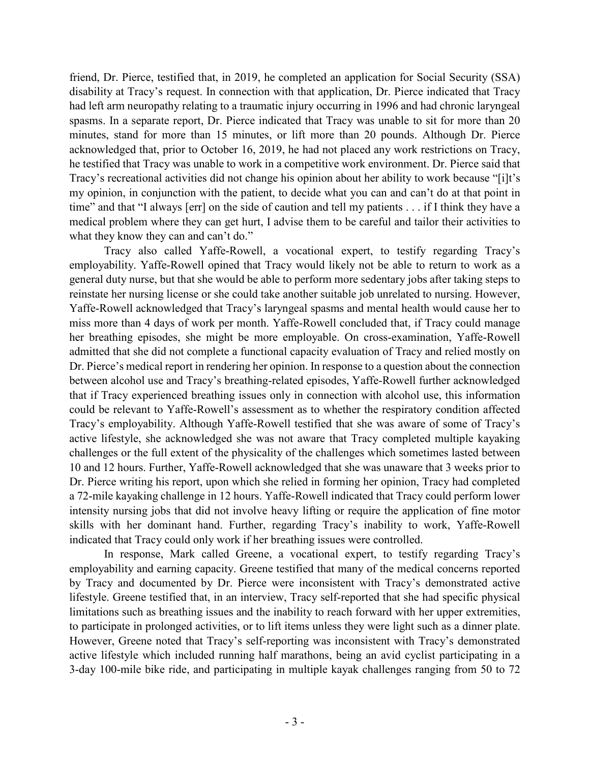friend, Dr. Pierce, testified that, in 2019, he completed an application for Social Security (SSA) disability at Tracy's request. In connection with that application, Dr. Pierce indicated that Tracy had left arm neuropathy relating to a traumatic injury occurring in 1996 and had chronic laryngeal spasms. In a separate report, Dr. Pierce indicated that Tracy was unable to sit for more than 20 minutes, stand for more than 15 minutes, or lift more than 20 pounds. Although Dr. Pierce acknowledged that, prior to October 16, 2019, he had not placed any work restrictions on Tracy, he testified that Tracy was unable to work in a competitive work environment. Dr. Pierce said that Tracy's recreational activities did not change his opinion about her ability to work because "[i]t's my opinion, in conjunction with the patient, to decide what you can and can't do at that point in time" and that "I always [err] on the side of caution and tell my patients . . . if I think they have a medical problem where they can get hurt, I advise them to be careful and tailor their activities to what they know they can and can't do."

Tracy also called Yaffe-Rowell, a vocational expert, to testify regarding Tracy's employability. Yaffe-Rowell opined that Tracy would likely not be able to return to work as a general duty nurse, but that she would be able to perform more sedentary jobs after taking steps to reinstate her nursing license or she could take another suitable job unrelated to nursing. However, Yaffe-Rowell acknowledged that Tracy's laryngeal spasms and mental health would cause her to miss more than 4 days of work per month. Yaffe-Rowell concluded that, if Tracy could manage her breathing episodes, she might be more employable. On cross-examination, Yaffe-Rowell admitted that she did not complete a functional capacity evaluation of Tracy and relied mostly on Dr. Pierce's medical report in rendering her opinion. In response to a question about the connection between alcohol use and Tracy's breathing-related episodes, Yaffe-Rowell further acknowledged that if Tracy experienced breathing issues only in connection with alcohol use, this information could be relevant to Yaffe-Rowell's assessment as to whether the respiratory condition affected Tracy's employability. Although Yaffe-Rowell testified that she was aware of some of Tracy's active lifestyle, she acknowledged she was not aware that Tracy completed multiple kayaking challenges or the full extent of the physicality of the challenges which sometimes lasted between 10 and 12 hours. Further, Yaffe-Rowell acknowledged that she was unaware that 3 weeks prior to Dr. Pierce writing his report, upon which she relied in forming her opinion, Tracy had completed a 72-mile kayaking challenge in 12 hours. Yaffe-Rowell indicated that Tracy could perform lower intensity nursing jobs that did not involve heavy lifting or require the application of fine motor skills with her dominant hand. Further, regarding Tracy's inability to work, Yaffe-Rowell indicated that Tracy could only work if her breathing issues were controlled.

In response, Mark called Greene, a vocational expert, to testify regarding Tracy's employability and earning capacity. Greene testified that many of the medical concerns reported by Tracy and documented by Dr. Pierce were inconsistent with Tracy's demonstrated active lifestyle. Greene testified that, in an interview, Tracy self-reported that she had specific physical limitations such as breathing issues and the inability to reach forward with her upper extremities, to participate in prolonged activities, or to lift items unless they were light such as a dinner plate. However, Greene noted that Tracy's self-reporting was inconsistent with Tracy's demonstrated active lifestyle which included running half marathons, being an avid cyclist participating in a 3-day 100-mile bike ride, and participating in multiple kayak challenges ranging from 50 to 72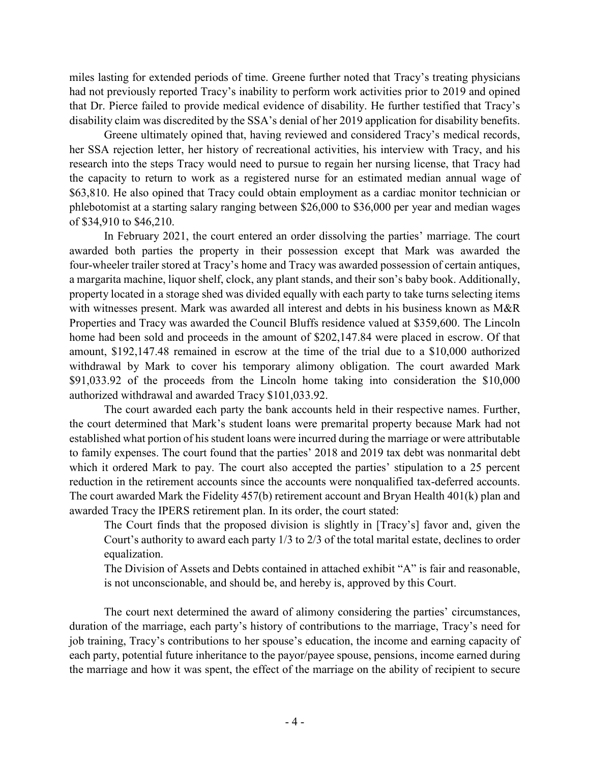miles lasting for extended periods of time. Greene further noted that Tracy's treating physicians had not previously reported Tracy's inability to perform work activities prior to 2019 and opined that Dr. Pierce failed to provide medical evidence of disability. He further testified that Tracy's disability claim was discredited by the SSA's denial of her 2019 application for disability benefits.

Greene ultimately opined that, having reviewed and considered Tracy's medical records, her SSA rejection letter, her history of recreational activities, his interview with Tracy, and his research into the steps Tracy would need to pursue to regain her nursing license, that Tracy had the capacity to return to work as a registered nurse for an estimated median annual wage of \$63,810. He also opined that Tracy could obtain employment as a cardiac monitor technician or phlebotomist at a starting salary ranging between \$26,000 to \$36,000 per year and median wages of \$34,910 to \$46,210.

In February 2021, the court entered an order dissolving the parties' marriage. The court awarded both parties the property in their possession except that Mark was awarded the four-wheeler trailer stored at Tracy's home and Tracy was awarded possession of certain antiques, a margarita machine, liquor shelf, clock, any plant stands, and their son's baby book. Additionally, property located in a storage shed was divided equally with each party to take turns selecting items with witnesses present. Mark was awarded all interest and debts in his business known as M&R Properties and Tracy was awarded the Council Bluffs residence valued at \$359,600. The Lincoln home had been sold and proceeds in the amount of \$202,147.84 were placed in escrow. Of that amount, \$192,147.48 remained in escrow at the time of the trial due to a \$10,000 authorized withdrawal by Mark to cover his temporary alimony obligation. The court awarded Mark \$91,033.92 of the proceeds from the Lincoln home taking into consideration the \$10,000 authorized withdrawal and awarded Tracy \$101,033.92.

The court awarded each party the bank accounts held in their respective names. Further, the court determined that Mark's student loans were premarital property because Mark had not established what portion of his student loans were incurred during the marriage or were attributable to family expenses. The court found that the parties' 2018 and 2019 tax debt was nonmarital debt which it ordered Mark to pay. The court also accepted the parties' stipulation to a 25 percent reduction in the retirement accounts since the accounts were nonqualified tax-deferred accounts. The court awarded Mark the Fidelity 457(b) retirement account and Bryan Health 401(k) plan and awarded Tracy the IPERS retirement plan. In its order, the court stated:

The Court finds that the proposed division is slightly in [Tracy's] favor and, given the Court's authority to award each party 1/3 to 2/3 of the total marital estate, declines to order equalization.

The Division of Assets and Debts contained in attached exhibit "A" is fair and reasonable, is not unconscionable, and should be, and hereby is, approved by this Court.

The court next determined the award of alimony considering the parties' circumstances, duration of the marriage, each party's history of contributions to the marriage, Tracy's need for job training, Tracy's contributions to her spouse's education, the income and earning capacity of each party, potential future inheritance to the payor/payee spouse, pensions, income earned during the marriage and how it was spent, the effect of the marriage on the ability of recipient to secure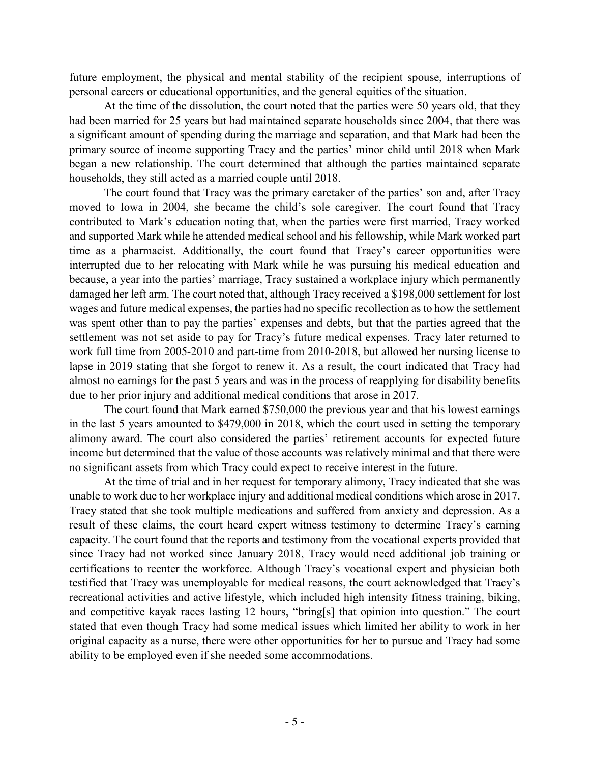future employment, the physical and mental stability of the recipient spouse, interruptions of personal careers or educational opportunities, and the general equities of the situation.

At the time of the dissolution, the court noted that the parties were 50 years old, that they had been married for 25 years but had maintained separate households since 2004, that there was a significant amount of spending during the marriage and separation, and that Mark had been the primary source of income supporting Tracy and the parties' minor child until 2018 when Mark began a new relationship. The court determined that although the parties maintained separate households, they still acted as a married couple until 2018.

The court found that Tracy was the primary caretaker of the parties' son and, after Tracy moved to Iowa in 2004, she became the child's sole caregiver. The court found that Tracy contributed to Mark's education noting that, when the parties were first married, Tracy worked and supported Mark while he attended medical school and his fellowship, while Mark worked part time as a pharmacist. Additionally, the court found that Tracy's career opportunities were interrupted due to her relocating with Mark while he was pursuing his medical education and because, a year into the parties' marriage, Tracy sustained a workplace injury which permanently damaged her left arm. The court noted that, although Tracy received a \$198,000 settlement for lost wages and future medical expenses, the parties had no specific recollection as to how the settlement was spent other than to pay the parties' expenses and debts, but that the parties agreed that the settlement was not set aside to pay for Tracy's future medical expenses. Tracy later returned to work full time from 2005-2010 and part-time from 2010-2018, but allowed her nursing license to lapse in 2019 stating that she forgot to renew it. As a result, the court indicated that Tracy had almost no earnings for the past 5 years and was in the process of reapplying for disability benefits due to her prior injury and additional medical conditions that arose in 2017.

The court found that Mark earned \$750,000 the previous year and that his lowest earnings in the last 5 years amounted to \$479,000 in 2018, which the court used in setting the temporary alimony award. The court also considered the parties' retirement accounts for expected future income but determined that the value of those accounts was relatively minimal and that there were no significant assets from which Tracy could expect to receive interest in the future.

At the time of trial and in her request for temporary alimony, Tracy indicated that she was unable to work due to her workplace injury and additional medical conditions which arose in 2017. Tracy stated that she took multiple medications and suffered from anxiety and depression. As a result of these claims, the court heard expert witness testimony to determine Tracy's earning capacity. The court found that the reports and testimony from the vocational experts provided that since Tracy had not worked since January 2018, Tracy would need additional job training or certifications to reenter the workforce. Although Tracy's vocational expert and physician both testified that Tracy was unemployable for medical reasons, the court acknowledged that Tracy's recreational activities and active lifestyle, which included high intensity fitness training, biking, and competitive kayak races lasting 12 hours, "bring[s] that opinion into question." The court stated that even though Tracy had some medical issues which limited her ability to work in her original capacity as a nurse, there were other opportunities for her to pursue and Tracy had some ability to be employed even if she needed some accommodations.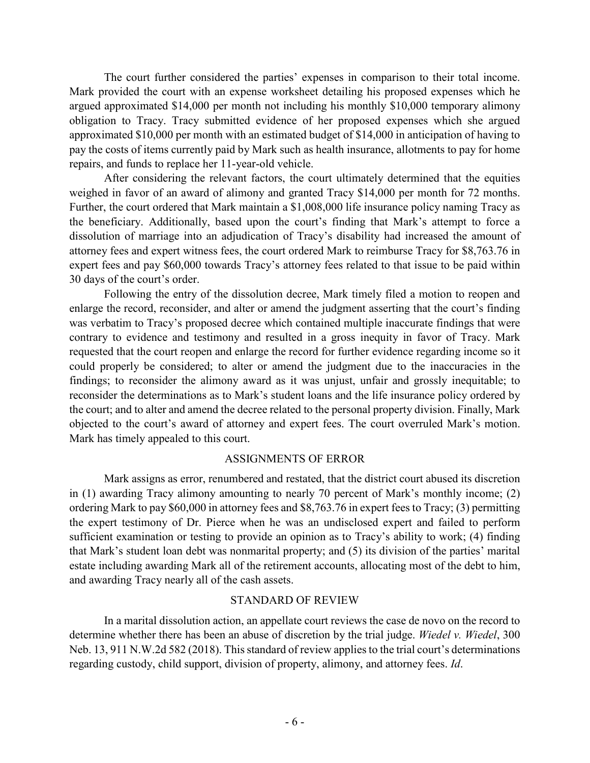The court further considered the parties' expenses in comparison to their total income. Mark provided the court with an expense worksheet detailing his proposed expenses which he argued approximated \$14,000 per month not including his monthly \$10,000 temporary alimony obligation to Tracy. Tracy submitted evidence of her proposed expenses which she argued approximated \$10,000 per month with an estimated budget of \$14,000 in anticipation of having to pay the costs of items currently paid by Mark such as health insurance, allotments to pay for home repairs, and funds to replace her 11-year-old vehicle.

After considering the relevant factors, the court ultimately determined that the equities weighed in favor of an award of alimony and granted Tracy \$14,000 per month for 72 months. Further, the court ordered that Mark maintain a \$1,008,000 life insurance policy naming Tracy as the beneficiary. Additionally, based upon the court's finding that Mark's attempt to force a dissolution of marriage into an adjudication of Tracy's disability had increased the amount of attorney fees and expert witness fees, the court ordered Mark to reimburse Tracy for \$8,763.76 in expert fees and pay \$60,000 towards Tracy's attorney fees related to that issue to be paid within 30 days of the court's order.

Following the entry of the dissolution decree, Mark timely filed a motion to reopen and enlarge the record, reconsider, and alter or amend the judgment asserting that the court's finding was verbatim to Tracy's proposed decree which contained multiple inaccurate findings that were contrary to evidence and testimony and resulted in a gross inequity in favor of Tracy. Mark requested that the court reopen and enlarge the record for further evidence regarding income so it could properly be considered; to alter or amend the judgment due to the inaccuracies in the findings; to reconsider the alimony award as it was unjust, unfair and grossly inequitable; to reconsider the determinations as to Mark's student loans and the life insurance policy ordered by the court; and to alter and amend the decree related to the personal property division. Finally, Mark objected to the court's award of attorney and expert fees. The court overruled Mark's motion. Mark has timely appealed to this court.

## ASSIGNMENTS OF ERROR

Mark assigns as error, renumbered and restated, that the district court abused its discretion in (1) awarding Tracy alimony amounting to nearly 70 percent of Mark's monthly income; (2) ordering Mark to pay \$60,000 in attorney fees and \$8,763.76 in expert fees to Tracy; (3) permitting the expert testimony of Dr. Pierce when he was an undisclosed expert and failed to perform sufficient examination or testing to provide an opinion as to Tracy's ability to work; (4) finding that Mark's student loan debt was nonmarital property; and (5) its division of the parties' marital estate including awarding Mark all of the retirement accounts, allocating most of the debt to him, and awarding Tracy nearly all of the cash assets.

#### STANDARD OF REVIEW

In a marital dissolution action, an appellate court reviews the case de novo on the record to determine whether there has been an abuse of discretion by the trial judge. *Wiedel v. Wiedel*, 300 Neb. 13, 911 N.W.2d 582 (2018). This standard of review applies to the trial court's determinations regarding custody, child support, division of property, alimony, and attorney fees. *Id*.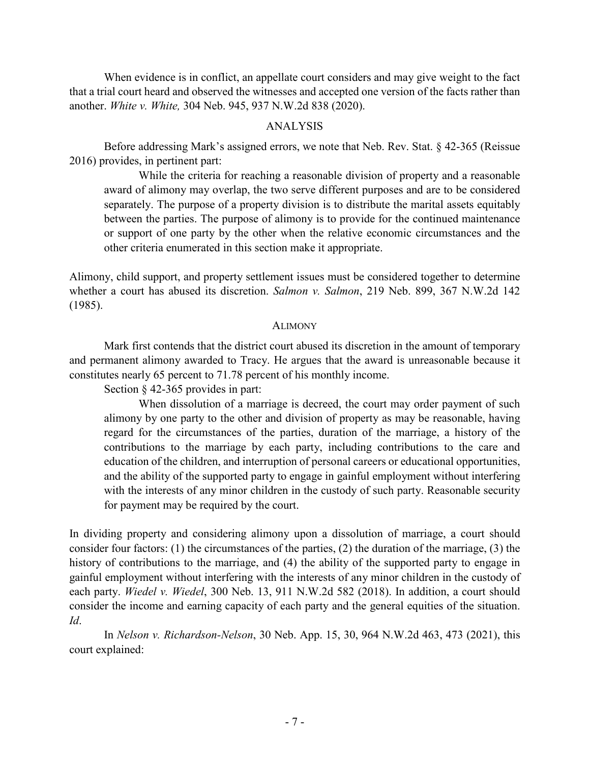When evidence is in conflict, an appellate court considers and may give weight to the fact that a trial court heard and observed the witnesses and accepted one version of the facts rather than another. *White v. White,* 304 Neb. 945, 937 N.W.2d 838 (2020).

### ANALYSIS

Before addressing Mark's assigned errors, we note that Neb. Rev. Stat. § 42-365 (Reissue 2016) provides, in pertinent part:

While the criteria for reaching a reasonable division of property and a reasonable award of alimony may overlap, the two serve different purposes and are to be considered separately. The purpose of a property division is to distribute the marital assets equitably between the parties. The purpose of alimony is to provide for the continued maintenance or support of one party by the other when the relative economic circumstances and the other criteria enumerated in this section make it appropriate.

Alimony, child support, and property settlement issues must be considered together to determine whether a court has abused its discretion. *Salmon v. Salmon*, 219 Neb. 899, 367 N.W.2d 142 (1985).

#### **ALIMONY**

Mark first contends that the district court abused its discretion in the amount of temporary and permanent alimony awarded to Tracy. He argues that the award is unreasonable because it constitutes nearly 65 percent to 71.78 percent of his monthly income.

Section § 42-365 provides in part:

When dissolution of a marriage is decreed, the court may order payment of such alimony by one party to the other and division of property as may be reasonable, having regard for the circumstances of the parties, duration of the marriage, a history of the contributions to the marriage by each party, including contributions to the care and education of the children, and interruption of personal careers or educational opportunities, and the ability of the supported party to engage in gainful employment without interfering with the interests of any minor children in the custody of such party. Reasonable security for payment may be required by the court.

In dividing property and considering alimony upon a dissolution of marriage, a court should consider four factors: (1) the circumstances of the parties, (2) the duration of the marriage, (3) the history of contributions to the marriage, and (4) the ability of the supported party to engage in gainful employment without interfering with the interests of any minor children in the custody of each party. *Wiedel v. Wiedel*, 300 Neb. 13, 911 N.W.2d 582 (2018). In addition, a court should consider the income and earning capacity of each party and the general equities of the situation. *Id*.

In *Nelson v. Richardson-Nelson*, 30 Neb. App. 15, 30, 964 N.W.2d 463, 473 (2021), this court explained: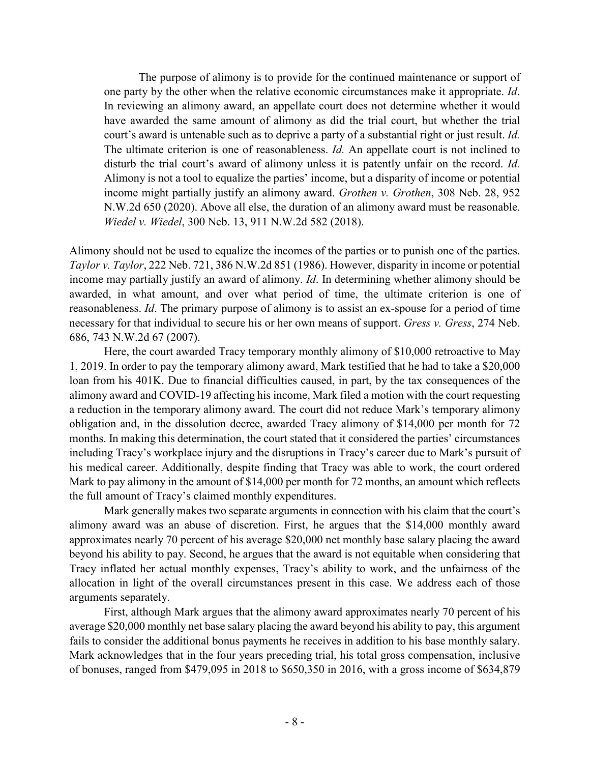The purpose of alimony is to provide for the continued maintenance or support of one party by the other when the relative economic circumstances make it appropriate. *Id*. In reviewing an alimony award, an appellate court does not determine whether it would have awarded the same amount of alimony as did the trial court, but whether the trial court's award is untenable such as to deprive a party of a substantial right or just result. *Id.* The ultimate criterion is one of reasonableness. *Id.* An appellate court is not inclined to disturb the trial court's award of alimony unless it is patently unfair on the record. *Id.* Alimony is not a tool to equalize the parties' income, but a disparity of income or potential income might partially justify an alimony award. *Grothen v. Grothen*, 308 Neb. 28, 952 N.W.2d 650 (2020). Above all else, the duration of an alimony award must be reasonable. *Wiedel v. Wiedel*, 300 Neb. 13, 911 N.W.2d 582 (2018).

Alimony should not be used to equalize the incomes of the parties or to punish one of the parties. *Taylor v. Taylor*, 222 Neb. 721, 386 N.W.2d 851 (1986). However, disparity in income or potential income may partially justify an award of alimony. *Id*. In determining whether alimony should be awarded, in what amount, and over what period of time, the ultimate criterion is one of reasonableness. *Id*. The primary purpose of alimony is to assist an ex-spouse for a period of time necessary for that individual to secure his or her own means of support. *Gress v. Gress*, 274 Neb. 686, 743 N.W.2d 67 (2007).

Here, the court awarded Tracy temporary monthly alimony of \$10,000 retroactive to May 1, 2019. In order to pay the temporary alimony award, Mark testified that he had to take a \$20,000 loan from his 401K. Due to financial difficulties caused, in part, by the tax consequences of the alimony award and COVID-19 affecting his income, Mark filed a motion with the court requesting a reduction in the temporary alimony award. The court did not reduce Mark's temporary alimony obligation and, in the dissolution decree, awarded Tracy alimony of \$14,000 per month for 72 months. In making this determination, the court stated that it considered the parties' circumstances including Tracy's workplace injury and the disruptions in Tracy's career due to Mark's pursuit of his medical career. Additionally, despite finding that Tracy was able to work, the court ordered Mark to pay alimony in the amount of \$14,000 per month for 72 months, an amount which reflects the full amount of Tracy's claimed monthly expenditures.

Mark generally makes two separate arguments in connection with his claim that the court's alimony award was an abuse of discretion. First, he argues that the \$14,000 monthly award approximates nearly 70 percent of his average \$20,000 net monthly base salary placing the award beyond his ability to pay. Second, he argues that the award is not equitable when considering that Tracy inflated her actual monthly expenses, Tracy's ability to work, and the unfairness of the allocation in light of the overall circumstances present in this case. We address each of those arguments separately.

First, although Mark argues that the alimony award approximates nearly 70 percent of his average \$20,000 monthly net base salary placing the award beyond his ability to pay, this argument fails to consider the additional bonus payments he receives in addition to his base monthly salary. Mark acknowledges that in the four years preceding trial, his total gross compensation, inclusive of bonuses, ranged from \$479,095 in 2018 to \$650,350 in 2016, with a gross income of \$634,879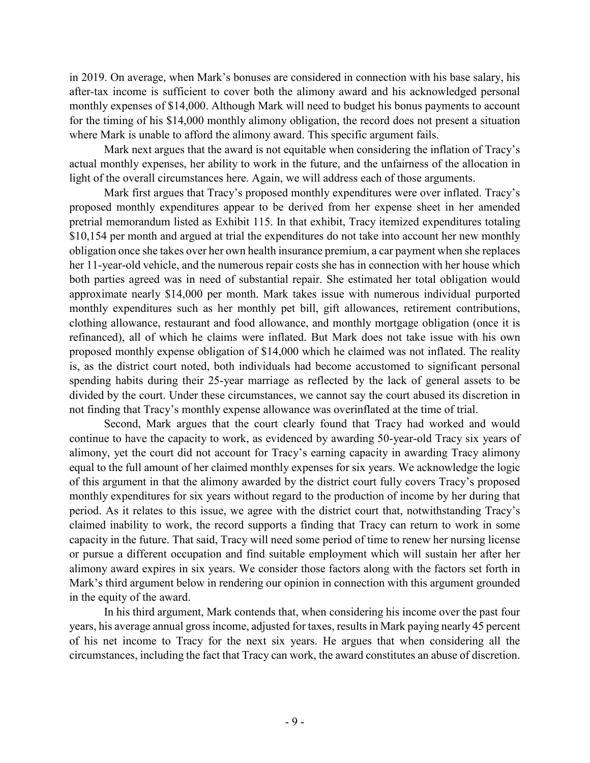in 2019. On average, when Mark's bonuses are considered in connection with his base salary, his after-tax income is sufficient to cover both the alimony award and his acknowledged personal monthly expenses of \$14,000. Although Mark will need to budget his bonus payments to account for the timing of his \$14,000 monthly alimony obligation, the record does not present a situation where Mark is unable to afford the alimony award. This specific argument fails.

Mark next argues that the award is not equitable when considering the inflation of Tracy's actual monthly expenses, her ability to work in the future, and the unfairness of the allocation in light of the overall circumstances here. Again, we will address each of those arguments.

Mark first argues that Tracy's proposed monthly expenditures were over inflated. Tracy's proposed monthly expenditures appear to be derived from her expense sheet in her amended pretrial memorandum listed as Exhibit 115. In that exhibit, Tracy itemized expenditures totaling \$10,154 per month and argued at trial the expenditures do not take into account her new monthly obligation once she takes over her own health insurance premium, a car payment when she replaces her 11-year-old vehicle, and the numerous repair costs she has in connection with her house which both parties agreed was in need of substantial repair. She estimated her total obligation would approximate nearly \$14,000 per month. Mark takes issue with numerous individual purported monthly expenditures such as her monthly pet bill, gift allowances, retirement contributions, clothing allowance, restaurant and food allowance, and monthly mortgage obligation (once it is refinanced), all of which he claims were inflated. But Mark does not take issue with his own proposed monthly expense obligation of \$14,000 which he claimed was not inflated. The reality is, as the district court noted, both individuals had become accustomed to significant personal spending habits during their 25-year marriage as reflected by the lack of general assets to be divided by the court. Under these circumstances, we cannot say the court abused its discretion in not finding that Tracy's monthly expense allowance was overinflated at the time of trial.

Second, Mark argues that the court clearly found that Tracy had worked and would continue to have the capacity to work, as evidenced by awarding 50-year-old Tracy six years of alimony, yet the court did not account for Tracy's earning capacity in awarding Tracy alimony equal to the full amount of her claimed monthly expenses for six years. We acknowledge the logic of this argument in that the alimony awarded by the district court fully covers Tracy's proposed monthly expenditures for six years without regard to the production of income by her during that period. As it relates to this issue, we agree with the district court that, notwithstanding Tracy's claimed inability to work, the record supports a finding that Tracy can return to work in some capacity in the future. That said, Tracy will need some period of time to renew her nursing license or pursue a different occupation and find suitable employment which will sustain her after her alimony award expires in six years. We consider those factors along with the factors set forth in Mark's third argument below in rendering our opinion in connection with this argument grounded in the equity of the award.

In his third argument, Mark contends that, when considering his income over the past four years, his average annual gross income, adjusted for taxes, results in Mark paying nearly 45 percent of his net income to Tracy for the next six years. He argues that when considering all the circumstances, including the fact that Tracy can work, the award constitutes an abuse of discretion.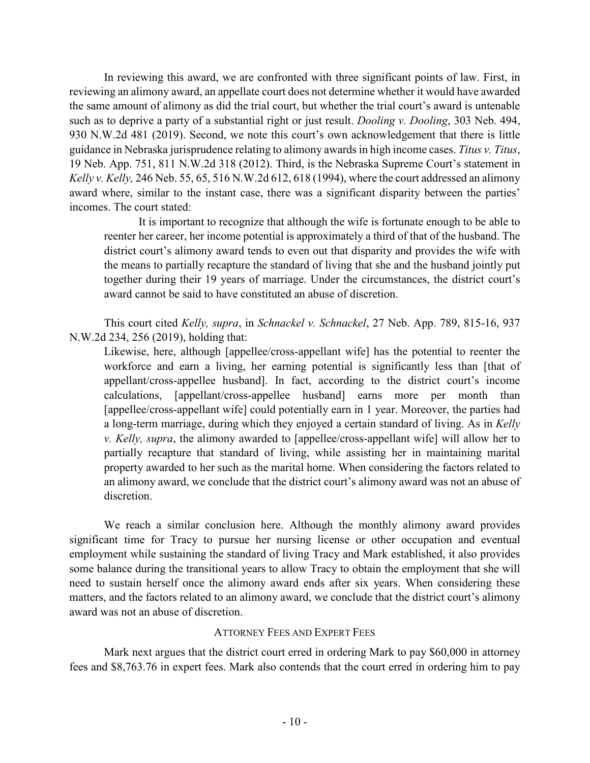In reviewing this award, we are confronted with three significant points of law. First, in reviewing an alimony award, an appellate court does not determine whether it would have awarded the same amount of alimony as did the trial court, but whether the trial court's award is untenable such as to deprive a party of a substantial right or just result. *Dooling v. Dooling*, 303 Neb. 494, 930 N.W.2d 481 (2019). Second, we note this court's own acknowledgement that there is little guidance in Nebraska jurisprudence relating to alimony awards in high income cases. *Titus v. Titus*, 19 Neb. App. 751, 811 N.W.2d 318 (2012). Third, is the Nebraska Supreme Court's statement in *Kelly v. Kelly,* 246 Neb. 55, 65, 516 N.W.2d 612, 618 (1994), where the court addressed an alimony award where, similar to the instant case, there was a significant disparity between the parties' incomes. The court stated:

It is important to recognize that although the wife is fortunate enough to be able to reenter her career, her income potential is approximately a third of that of the husband. The district court's alimony award tends to even out that disparity and provides the wife with the means to partially recapture the standard of living that she and the husband jointly put together during their 19 years of marriage. Under the circumstances, the district court's award cannot be said to have constituted an abuse of discretion.

This court cited *Kelly, supra*, in *Schnackel v. Schnackel*, 27 Neb. App. 789, 815-16, 937 N.W.2d 234, 256 (2019), holding that:

Likewise, here, although [appellee/cross-appellant wife] has the potential to reenter the workforce and earn a living, her earning potential is significantly less than [that of appellant/cross-appellee husband]. In fact, according to the district court's income calculations, [appellant/cross-appellee husband] earns more per month than [appellee/cross-appellant wife] could potentially earn in 1 year. Moreover, the parties had a long-term marriage, during which they enjoyed a certain standard of living. As in *Kelly v. Kelly, supra*, the alimony awarded to [appellee/cross-appellant wife] will allow her to partially recapture that standard of living, while assisting her in maintaining marital property awarded to her such as the marital home. When considering the factors related to an alimony award, we conclude that the district court's alimony award was not an abuse of discretion.

We reach a similar conclusion here. Although the monthly alimony award provides significant time for Tracy to pursue her nursing license or other occupation and eventual employment while sustaining the standard of living Tracy and Mark established, it also provides some balance during the transitional years to allow Tracy to obtain the employment that she will need to sustain herself once the alimony award ends after six years. When considering these matters, and the factors related to an alimony award, we conclude that the district court's alimony award was not an abuse of discretion.

## ATTORNEY FEES AND EXPERT FEES

Mark next argues that the district court erred in ordering Mark to pay \$60,000 in attorney fees and \$8,763.76 in expert fees. Mark also contends that the court erred in ordering him to pay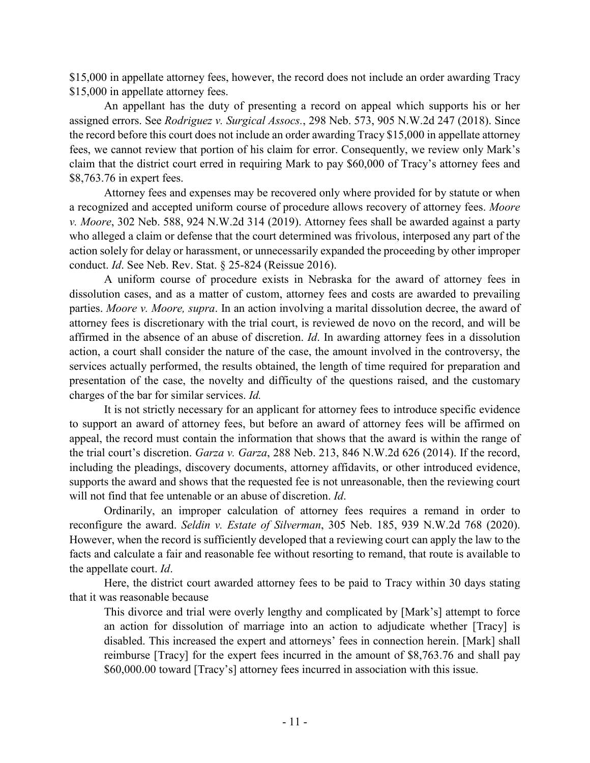\$15,000 in appellate attorney fees, however, the record does not include an order awarding Tracy \$15,000 in appellate attorney fees.

An appellant has the duty of presenting a record on appeal which supports his or her assigned errors. See *Rodriguez v. Surgical Assocs.*, 298 Neb. 573, 905 N.W.2d 247 (2018). Since the record before this court does not include an order awarding Tracy \$15,000 in appellate attorney fees, we cannot review that portion of his claim for error. Consequently, we review only Mark's claim that the district court erred in requiring Mark to pay \$60,000 of Tracy's attorney fees and \$8,763.76 in expert fees.

Attorney fees and expenses may be recovered only where provided for by statute or when a recognized and accepted uniform course of procedure allows recovery of attorney fees. *Moore v. Moore*, 302 Neb. 588, 924 N.W.2d 314 (2019). Attorney fees shall be awarded against a party who alleged a claim or defense that the court determined was frivolous, interposed any part of the action solely for delay or harassment, or unnecessarily expanded the proceeding by other improper conduct. *Id*. See Neb. Rev. Stat. § 25-824 (Reissue 2016).

A uniform course of procedure exists in Nebraska for the award of attorney fees in dissolution cases, and as a matter of custom, attorney fees and costs are awarded to prevailing parties. *Moore v. Moore, supra*. In an action involving a marital dissolution decree, the award of attorney fees is discretionary with the trial court, is reviewed de novo on the record, and will be affirmed in the absence of an abuse of discretion. *Id*. In awarding attorney fees in a dissolution action, a court shall consider the nature of the case, the amount involved in the controversy, the services actually performed, the results obtained, the length of time required for preparation and presentation of the case, the novelty and difficulty of the questions raised, and the customary charges of the bar for similar services. *Id.*

It is not strictly necessary for an applicant for attorney fees to introduce specific evidence to support an award of attorney fees, but before an award of attorney fees will be affirmed on appeal, the record must contain the information that shows that the award is within the range of the trial court's discretion. *Garza v. Garza*, 288 Neb. 213, 846 N.W.2d 626 (2014). If the record, including the pleadings, discovery documents, attorney affidavits, or other introduced evidence, supports the award and shows that the requested fee is not unreasonable, then the reviewing court will not find that fee untenable or an abuse of discretion. *Id*.

Ordinarily, an improper calculation of attorney fees requires a remand in order to reconfigure the award. *Seldin v. Estate of Silverman*, 305 Neb. 185, 939 N.W.2d 768 (2020). However, when the record is sufficiently developed that a reviewing court can apply the law to the facts and calculate a fair and reasonable fee without resorting to remand, that route is available to the appellate court. *Id*.

Here, the district court awarded attorney fees to be paid to Tracy within 30 days stating that it was reasonable because

This divorce and trial were overly lengthy and complicated by [Mark's] attempt to force an action for dissolution of marriage into an action to adjudicate whether [Tracy] is disabled. This increased the expert and attorneys' fees in connection herein. [Mark] shall reimburse [Tracy] for the expert fees incurred in the amount of \$8,763.76 and shall pay \$60,000.00 toward [Tracy's] attorney fees incurred in association with this issue.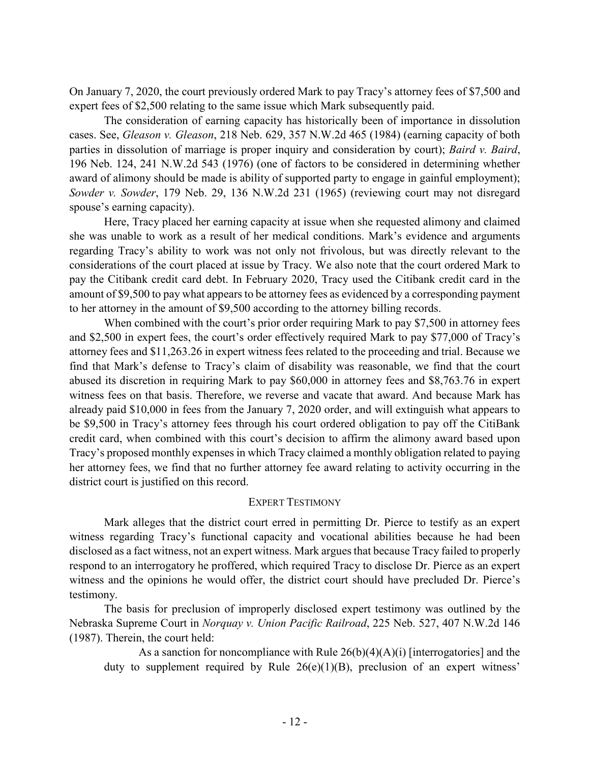On January 7, 2020, the court previously ordered Mark to pay Tracy's attorney fees of \$7,500 and expert fees of \$2,500 relating to the same issue which Mark subsequently paid.

The consideration of earning capacity has historically been of importance in dissolution cases. See, *Gleason v. Gleason*, 218 Neb. 629, 357 N.W.2d 465 (1984) (earning capacity of both parties in dissolution of marriage is proper inquiry and consideration by court); *Baird v. Baird*, 196 Neb. 124, 241 N.W.2d 543 (1976) (one of factors to be considered in determining whether award of alimony should be made is ability of supported party to engage in gainful employment); *Sowder v. Sowder*, 179 Neb. 29, 136 N.W.2d 231 (1965) (reviewing court may not disregard spouse's earning capacity).

Here, Tracy placed her earning capacity at issue when she requested alimony and claimed she was unable to work as a result of her medical conditions. Mark's evidence and arguments regarding Tracy's ability to work was not only not frivolous, but was directly relevant to the considerations of the court placed at issue by Tracy. We also note that the court ordered Mark to pay the Citibank credit card debt. In February 2020, Tracy used the Citibank credit card in the amount of \$9,500 to pay what appears to be attorney fees as evidenced by a corresponding payment to her attorney in the amount of \$9,500 according to the attorney billing records.

When combined with the court's prior order requiring Mark to pay \$7,500 in attorney fees and \$2,500 in expert fees, the court's order effectively required Mark to pay \$77,000 of Tracy's attorney fees and \$11,263.26 in expert witness fees related to the proceeding and trial. Because we find that Mark's defense to Tracy's claim of disability was reasonable, we find that the court abused its discretion in requiring Mark to pay \$60,000 in attorney fees and \$8,763.76 in expert witness fees on that basis. Therefore, we reverse and vacate that award. And because Mark has already paid \$10,000 in fees from the January 7, 2020 order, and will extinguish what appears to be \$9,500 in Tracy's attorney fees through his court ordered obligation to pay off the CitiBank credit card, when combined with this court's decision to affirm the alimony award based upon Tracy's proposed monthly expenses in which Tracy claimed a monthly obligation related to paying her attorney fees, we find that no further attorney fee award relating to activity occurring in the district court is justified on this record.

## EXPERT TESTIMONY

Mark alleges that the district court erred in permitting Dr. Pierce to testify as an expert witness regarding Tracy's functional capacity and vocational abilities because he had been disclosed as a fact witness, not an expert witness. Mark argues that because Tracy failed to properly respond to an interrogatory he proffered, which required Tracy to disclose Dr. Pierce as an expert witness and the opinions he would offer, the district court should have precluded Dr. Pierce's testimony.

The basis for preclusion of improperly disclosed expert testimony was outlined by the Nebraska Supreme Court in *Norquay v. Union Pacific Railroad*, 225 Neb. 527, 407 N.W.2d 146 (1987). Therein, the court held:

As a sanction for noncompliance with Rule  $26(b)(4)(A)(i)$  [interrogatories] and the duty to supplement required by Rule  $26(e)(1)(B)$ , preclusion of an expert witness'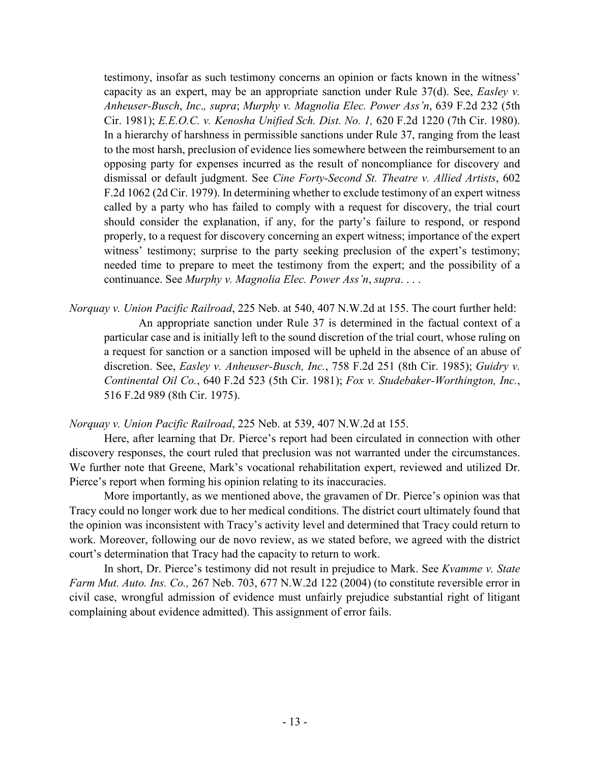testimony, insofar as such testimony concerns an opinion or facts known in the witness' capacity as an expert, may be an appropriate sanction under Rule 37(d). See, *Easley v. Anheuser-Busch*, *Inc*.*, supra*; *Murphy v. Magnolia Elec. Power Ass'n*, 639 F.2d 232 (5th Cir. 1981); *E.E.O.C. v. Kenosha Unified Sch. Dist. No. 1,* 620 F.2d 1220 (7th Cir. 1980). In a hierarchy of harshness in permissible sanctions under Rule 37, ranging from the least to the most harsh, preclusion of evidence lies somewhere between the reimbursement to an opposing party for expenses incurred as the result of noncompliance for discovery and dismissal or default judgment. See *Cine Forty-Second St. Theatre v. Allied Artists*, 602 F.2d 1062 (2d Cir. 1979). In determining whether to exclude testimony of an expert witness called by a party who has failed to comply with a request for discovery, the trial court should consider the explanation, if any, for the party's failure to respond, or respond properly, to a request for discovery concerning an expert witness; importance of the expert witness' testimony; surprise to the party seeking preclusion of the expert's testimony; needed time to prepare to meet the testimony from the expert; and the possibility of a continuance. See *Murphy v. Magnolia Elec. Power Ass'n*, *supra*. . . .

*Norquay v. Union Pacific Railroad*, 225 Neb. at 540, 407 N.W.2d at 155. The court further held: An appropriate sanction under Rule 37 is determined in the factual context of a particular case and is initially left to the sound discretion of the trial court, whose ruling on a request for sanction or a sanction imposed will be upheld in the absence of an abuse of discretion. See, *Easley v. Anheuser-Busch, Inc.*, 758 F.2d 251 (8th Cir. 1985); *Guidry v. Continental Oil Co.*, 640 F.2d 523 (5th Cir. 1981); *Fox v. Studebaker-Worthington, Inc.*, 516 F.2d 989 (8th Cir. 1975).

*Norquay v. Union Pacific Railroad*, 225 Neb. at 539, 407 N.W.2d at 155.

Here, after learning that Dr. Pierce's report had been circulated in connection with other discovery responses, the court ruled that preclusion was not warranted under the circumstances. We further note that Greene, Mark's vocational rehabilitation expert, reviewed and utilized Dr. Pierce's report when forming his opinion relating to its inaccuracies.

More importantly, as we mentioned above, the gravamen of Dr. Pierce's opinion was that Tracy could no longer work due to her medical conditions. The district court ultimately found that the opinion was inconsistent with Tracy's activity level and determined that Tracy could return to work. Moreover, following our de novo review, as we stated before, we agreed with the district court's determination that Tracy had the capacity to return to work.

In short, Dr. Pierce's testimony did not result in prejudice to Mark. See *Kvamme v. State Farm Mut. Auto. Ins. Co.,* 267 Neb. 703, 677 N.W.2d 122 (2004) (to constitute reversible error in civil case, wrongful admission of evidence must unfairly prejudice substantial right of litigant complaining about evidence admitted). This assignment of error fails.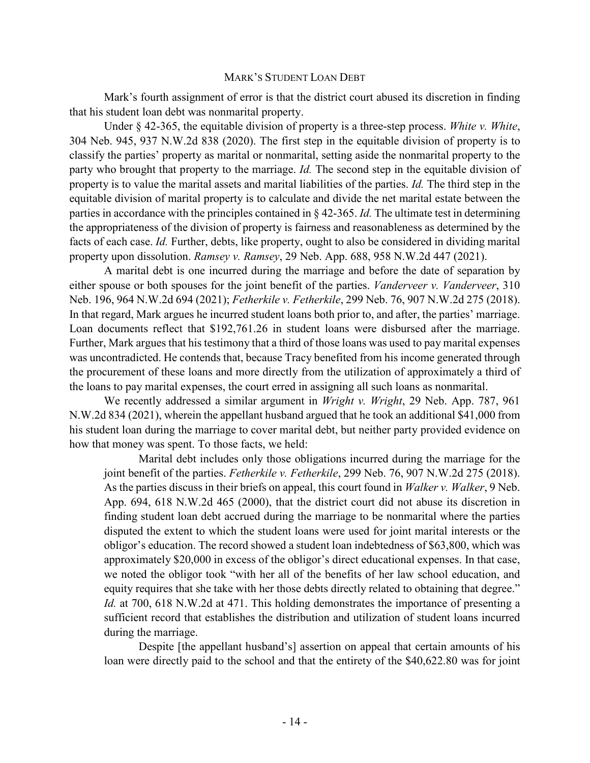#### MARK'S STUDENT LOAN DEBT

Mark's fourth assignment of error is that the district court abused its discretion in finding that his student loan debt was nonmarital property.

Under § 42-365, the equitable division of property is a three-step process. *White v. White*, 304 Neb. 945, 937 N.W.2d 838 (2020). The first step in the equitable division of property is to classify the parties' property as marital or nonmarital, setting aside the nonmarital property to the party who brought that property to the marriage. *Id.* The second step in the equitable division of property is to value the marital assets and marital liabilities of the parties. *Id.* The third step in the equitable division of marital property is to calculate and divide the net marital estate between the parties in accordance with the principles contained in § 42-365. *Id.* The ultimate test in determining the appropriateness of the division of property is fairness and reasonableness as determined by the facts of each case. *Id.* Further, debts, like property, ought to also be considered in dividing marital property upon dissolution. *Ramsey v. Ramsey*, 29 Neb. App. 688, 958 N.W.2d 447 (2021).

A marital debt is one incurred during the marriage and before the date of separation by either spouse or both spouses for the joint benefit of the parties. *Vanderveer v. Vanderveer*, 310 Neb. 196, 964 N.W.2d 694 (2021); *Fetherkile v. Fetherkile*, 299 Neb. 76, 907 N.W.2d 275 (2018). In that regard, Mark argues he incurred student loans both prior to, and after, the parties' marriage. Loan documents reflect that \$192,761.26 in student loans were disbursed after the marriage. Further, Mark argues that his testimony that a third of those loans was used to pay marital expenses was uncontradicted. He contends that, because Tracy benefited from his income generated through the procurement of these loans and more directly from the utilization of approximately a third of the loans to pay marital expenses, the court erred in assigning all such loans as nonmarital.

We recently addressed a similar argument in *Wright v. Wright*, 29 Neb. App. 787, 961 N.W.2d 834 (2021), wherein the appellant husband argued that he took an additional \$41,000 from his student loan during the marriage to cover marital debt, but neither party provided evidence on how that money was spent. To those facts, we held:

Marital debt includes only those obligations incurred during the marriage for the joint benefit of the parties. *Fetherkile v. Fetherkile*, 299 Neb. 76, 907 N.W.2d 275 (2018). As the parties discuss in their briefs on appeal, this court found in *Walker v. Walker*, 9 Neb. App. 694, 618 N.W.2d 465 (2000), that the district court did not abuse its discretion in finding student loan debt accrued during the marriage to be nonmarital where the parties disputed the extent to which the student loans were used for joint marital interests or the obligor's education. The record showed a student loan indebtedness of \$63,800, which was approximately \$20,000 in excess of the obligor's direct educational expenses. In that case, we noted the obligor took "with her all of the benefits of her law school education, and equity requires that she take with her those debts directly related to obtaining that degree." *Id.* at 700, 618 N.W.2d at 471. This holding demonstrates the importance of presenting a sufficient record that establishes the distribution and utilization of student loans incurred during the marriage.

Despite [the appellant husband's] assertion on appeal that certain amounts of his loan were directly paid to the school and that the entirety of the \$40,622.80 was for joint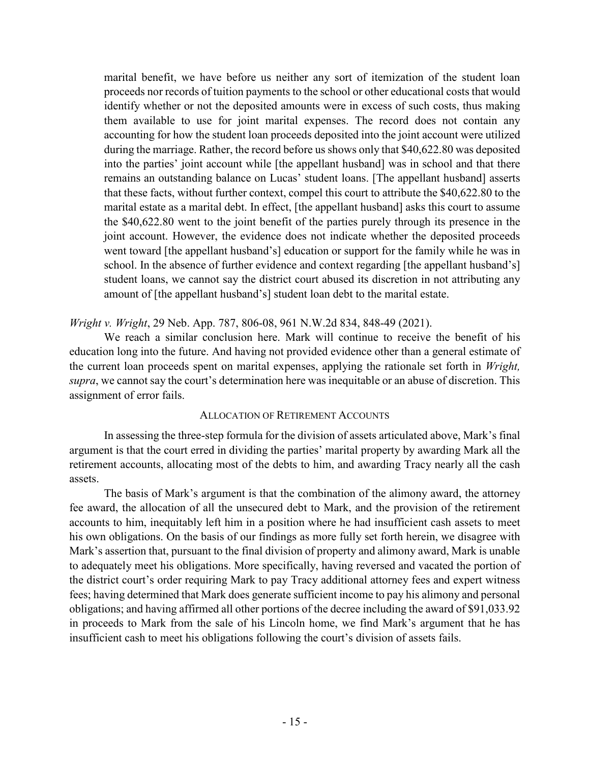marital benefit, we have before us neither any sort of itemization of the student loan proceeds nor records of tuition payments to the school or other educational costs that would identify whether or not the deposited amounts were in excess of such costs, thus making them available to use for joint marital expenses. The record does not contain any accounting for how the student loan proceeds deposited into the joint account were utilized during the marriage. Rather, the record before us shows only that \$40,622.80 was deposited into the parties' joint account while [the appellant husband] was in school and that there remains an outstanding balance on Lucas' student loans. [The appellant husband] asserts that these facts, without further context, compel this court to attribute the \$40,622.80 to the marital estate as a marital debt. In effect, [the appellant husband] asks this court to assume the \$40,622.80 went to the joint benefit of the parties purely through its presence in the joint account. However, the evidence does not indicate whether the deposited proceeds went toward [the appellant husband's] education or support for the family while he was in school. In the absence of further evidence and context regarding [the appellant husband's] student loans, we cannot say the district court abused its discretion in not attributing any amount of [the appellant husband's] student loan debt to the marital estate.

## *Wright v. Wright*, 29 Neb. App. 787, 806-08, 961 N.W.2d 834, 848-49 (2021).

We reach a similar conclusion here. Mark will continue to receive the benefit of his education long into the future. And having not provided evidence other than a general estimate of the current loan proceeds spent on marital expenses, applying the rationale set forth in *Wright, supra*, we cannot say the court's determination here was inequitable or an abuse of discretion. This assignment of error fails.

## ALLOCATION OF RETIREMENT ACCOUNTS

In assessing the three-step formula for the division of assets articulated above, Mark's final argument is that the court erred in dividing the parties' marital property by awarding Mark all the retirement accounts, allocating most of the debts to him, and awarding Tracy nearly all the cash assets.

The basis of Mark's argument is that the combination of the alimony award, the attorney fee award, the allocation of all the unsecured debt to Mark, and the provision of the retirement accounts to him, inequitably left him in a position where he had insufficient cash assets to meet his own obligations. On the basis of our findings as more fully set forth herein, we disagree with Mark's assertion that, pursuant to the final division of property and alimony award, Mark is unable to adequately meet his obligations. More specifically, having reversed and vacated the portion of the district court's order requiring Mark to pay Tracy additional attorney fees and expert witness fees; having determined that Mark does generate sufficient income to pay his alimony and personal obligations; and having affirmed all other portions of the decree including the award of \$91,033.92 in proceeds to Mark from the sale of his Lincoln home, we find Mark's argument that he has insufficient cash to meet his obligations following the court's division of assets fails.